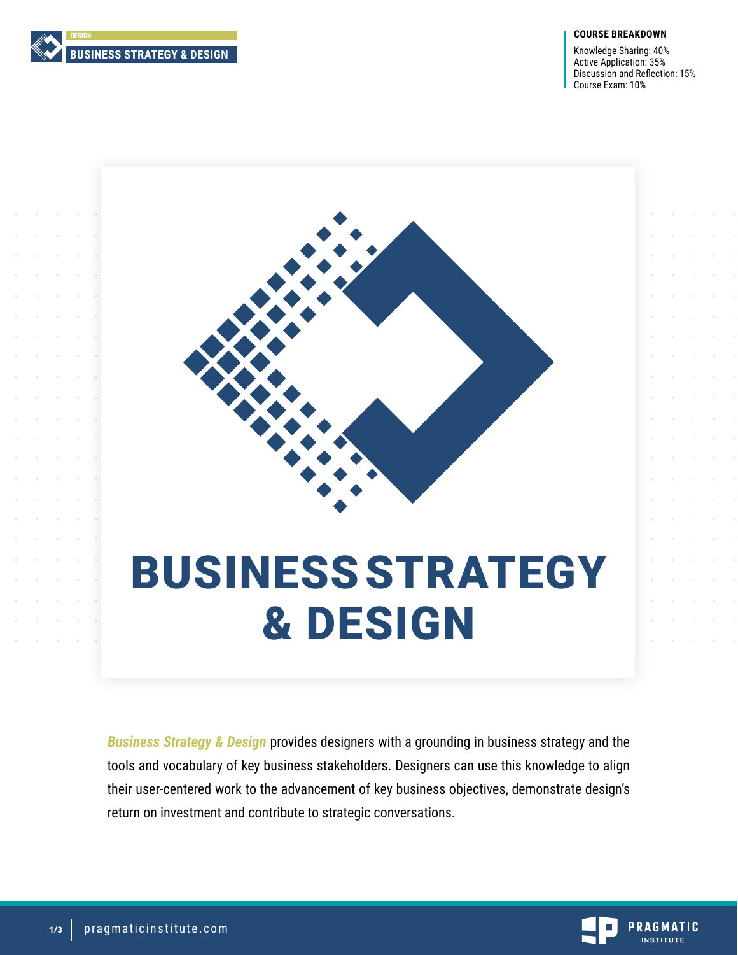

#### **COURSE BREAKDOWN**

Knowledge Sharing: 40% Active Application: 35% Discussion and Reflection: 15% Course Exam: 10%



# BUSINESS STRATEGY & DESIGN

*Business Strategy & Design* provides designers with a grounding in business strategy and the tools and vocabulary of key business stakeholders. Designers can use this knowledge to align their user-centered work to the advancement of key business objectives, demonstrate design's return on investment and contribute to strategic conversations.

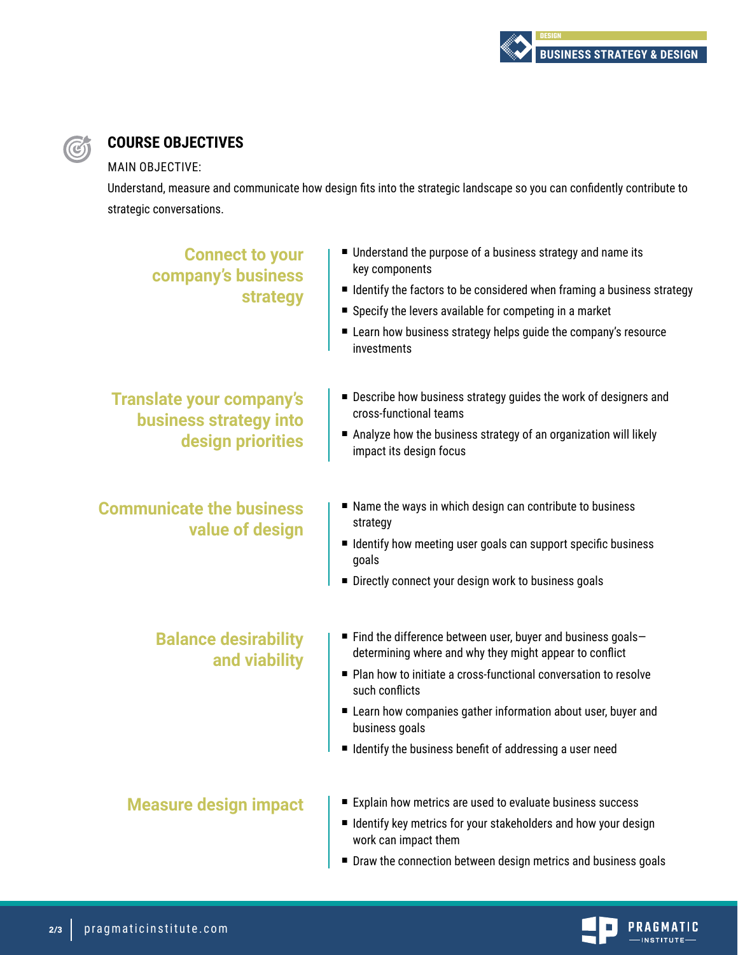

# **COURSE OBJECTIVES**

MAIN OBJECTIVE:

 $\bigcirc$ 

Understand, measure and communicate how design fits into the strategic landscape so you can confidently contribute to strategic conversations.

| <b>Connect to your</b><br>company's business<br>strategy                       | Understand the purpose of a business strategy and name its<br>key components<br>■ Identify the factors to be considered when framing a business strategy<br>Specify the levers available for competing in a market<br>Learn how business strategy helps guide the company's resource<br>investments                                                                       |
|--------------------------------------------------------------------------------|---------------------------------------------------------------------------------------------------------------------------------------------------------------------------------------------------------------------------------------------------------------------------------------------------------------------------------------------------------------------------|
| <b>Translate your company's</b><br>business strategy into<br>design priorities | ■ Describe how business strategy guides the work of designers and<br>cross-functional teams<br>Analyze how the business strategy of an organization will likely<br>impact its design focus                                                                                                                                                                                |
| <b>Communicate the business</b><br>value of design                             | ■ Name the ways in which design can contribute to business<br>strategy<br>■ Identify how meeting user goals can support specific business<br>goals<br>Directly connect your design work to business goals                                                                                                                                                                 |
| <b>Balance desirability</b><br>and viability                                   | $\blacksquare$ Find the difference between user, buyer and business goals-<br>determining where and why they might appear to conflict<br>Plan how to initiate a cross-functional conversation to resolve<br>such conflicts<br>Learn how companies gather information about user, buyer and<br>business goals<br>I Identify the business benefit of addressing a user need |
| <b>Measure design impact</b>                                                   | Explain how metrics are used to evaluate business success<br>■ Identify key metrics for your stakeholders and how your design<br>work can impact them<br>■ Draw the connection between design metrics and business goals                                                                                                                                                  |